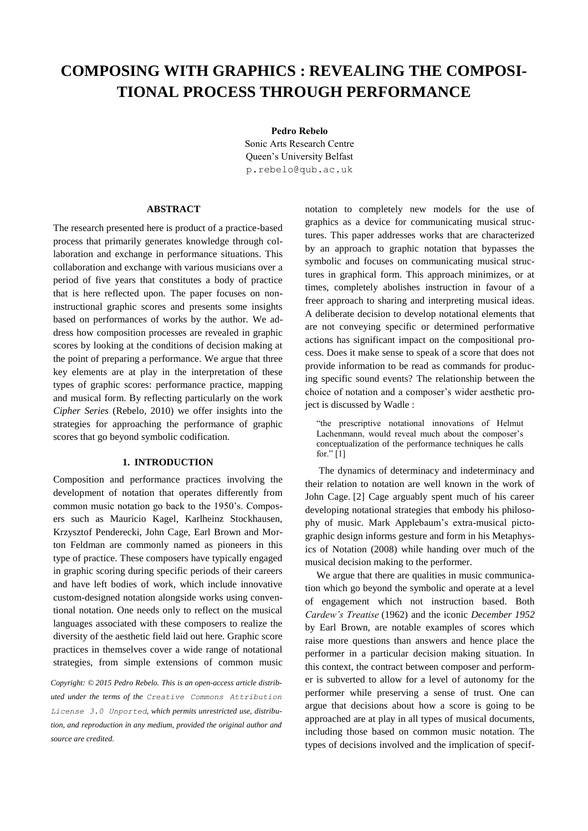# **COMPOSING WITH GRAPHICS : REVEALING THE COMPOSI-TIONAL PROCESS THROUGH PERFORMANCE**

**Pedro Rebelo**

Sonic Arts Research Centre Queen's University Belfast [p.rebelo@qub.ac.uk](mailto:author1@adomain.org?subject=TENOR%202015%20paper)

## **ABSTRACT**

The research presented here is product of a practice-based process that primarily generates knowledge through collaboration and exchange in performance situations. This collaboration and exchange with various musicians over a period of five years that constitutes a body of practice that is here reflected upon. The paper focuses on noninstructional graphic scores and presents some insights based on performances of works by the author. We address how composition processes are revealed in graphic scores by looking at the conditions of decision making at the point of preparing a performance. We argue that three key elements are at play in the interpretation of these types of graphic scores: performance practice, mapping and musical form. By reflecting particularly on the work *Cipher Series* (Rebelo, 2010) we offer insights into the strategies for approaching the performance of graphic scores that go beyond symbolic codification.

## **1. INTRODUCTION**

Composition and performance practices involving the development of notation that operates differently from common music notation go back to the 1950's. Composers such as Mauricio Kagel, Karlheinz Stockhausen, Krzysztof Penderecki, John Cage, Earl Brown and Morton Feldman are commonly named as pioneers in this type of practice. These composers have typically engaged in graphic scoring during specific periods of their careers and have left bodies of work, which include innovative custom-designed notation alongside works using conventional notation. One needs only to reflect on the musical languages associated with these composers to realize the diversity of the aesthetic field laid out here. Graphic score practices in themselves cover a wide range of notational strategies, from simple extensions of common music

*Copyright: © 2015 Pedro Rebelo. This is an open-access article distributed under the terms of the [Creative Commons Attribution](http://creativecommons.org/licenses/by/3.0/)  [License 3.0 Unported](http://creativecommons.org/licenses/by/3.0/), which permits unrestricted use, distribution, and reproduction in any medium, provided the original author and source are credited.*

notation to completely new models for the use of graphics as a device for communicating musical structures. This paper addresses works that are characterized by an approach to graphic notation that bypasses the symbolic and focuses on communicating musical structures in graphical form. This approach minimizes, or at times, completely abolishes instruction in favour of a freer approach to sharing and interpreting musical ideas. A deliberate decision to develop notational elements that are not conveying specific or determined performative actions has significant impact on the compositional process. Does it make sense to speak of a score that does not provide information to be read as commands for producing specific sound events? The relationship between the choice of notation and a composer's wider aesthetic project is discussed by Wadle :

"the prescriptive notational innovations of Helmut Lachenmann, would reveal much about the composer's conceptualization of the performance techniques he calls for." [1]

The dynamics of determinacy and indeterminacy and their relation to notation are well known in the work of John Cage. [2] Cage arguably spent much of his career developing notational strategies that embody his philosophy of music. Mark Applebaum's extra-musical pictographic design informs gesture and form in his Metaphysics of Notation (2008) while handing over much of the musical decision making to the performer.

We argue that there are qualities in music communication which go beyond the symbolic and operate at a level of engagement which not instruction based. Both *Cardew's Treatise* (1962) and the iconic *December 1952* by Earl Brown, are notable examples of scores which raise more questions than answers and hence place the performer in a particular decision making situation. In this context, the contract between composer and performer is subverted to allow for a level of autonomy for the performer while preserving a sense of trust. One can argue that decisions about how a score is going to be approached are at play in all types of musical documents, including those based on common music notation. The types of decisions involved and the implication of specif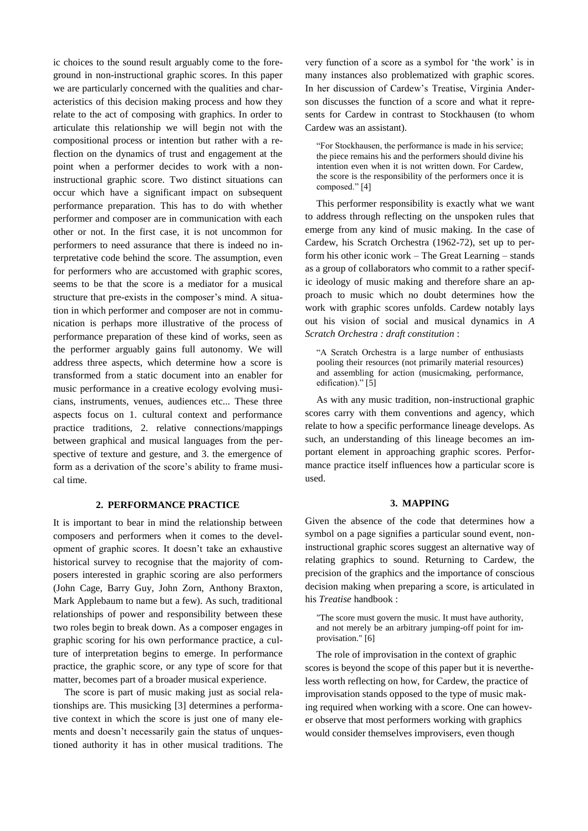ic choices to the sound result arguably come to the foreground in non-instructional graphic scores. In this paper we are particularly concerned with the qualities and characteristics of this decision making process and how they relate to the act of composing with graphics. In order to articulate this relationship we will begin not with the compositional process or intention but rather with a reflection on the dynamics of trust and engagement at the point when a performer decides to work with a noninstructional graphic score. Two distinct situations can occur which have a significant impact on subsequent performance preparation. This has to do with whether performer and composer are in communication with each other or not. In the first case, it is not uncommon for performers to need assurance that there is indeed no interpretative code behind the score. The assumption, even for performers who are accustomed with graphic scores, seems to be that the score is a mediator for a musical structure that pre-exists in the composer's mind. A situation in which performer and composer are not in communication is perhaps more illustrative of the process of performance preparation of these kind of works, seen as the performer arguably gains full autonomy. We will address three aspects, which determine how a score is transformed from a static document into an enabler for music performance in a creative ecology evolving musicians, instruments, venues, audiences etc... These three aspects focus on 1. cultural context and performance practice traditions, 2. relative connections/mappings between graphical and musical languages from the perspective of texture and gesture, and 3. the emergence of form as a derivation of the score's ability to frame musical time.

## **2. PERFORMANCE PRACTICE**

It is important to bear in mind the relationship between composers and performers when it comes to the development of graphic scores. It doesn't take an exhaustive historical survey to recognise that the majority of composers interested in graphic scoring are also performers (John Cage, Barry Guy, John Zorn, Anthony Braxton, Mark Applebaum to name but a few). As such, traditional relationships of power and responsibility between these two roles begin to break down. As a composer engages in graphic scoring for his own performance practice, a culture of interpretation begins to emerge. In performance practice, the graphic score, or any type of score for that matter, becomes part of a broader musical experience.

The score is part of music making just as social relationships are. This musicking [3] determines a performative context in which the score is just one of many elements and doesn't necessarily gain the status of unquestioned authority it has in other musical traditions. The very function of a score as a symbol for 'the work' is in many instances also problematized with graphic scores. In her discussion of Cardew's Treatise, Virginia Anderson discusses the function of a score and what it represents for Cardew in contrast to Stockhausen (to whom Cardew was an assistant).

"For Stockhausen, the performance is made in his service; the piece remains his and the performers should divine his intention even when it is not written down. For Cardew, the score is the responsibility of the performers once it is composed." [4]

This performer responsibility is exactly what we want to address through reflecting on the unspoken rules that emerge from any kind of music making. In the case of Cardew, his Scratch Orchestra (1962-72), set up to perform his other iconic work – The Great Learning – stands as a group of collaborators who commit to a rather specific ideology of music making and therefore share an approach to music which no doubt determines how the work with graphic scores unfolds. Cardew notably lays out his vision of social and musical dynamics in *A Scratch Orchestra : draft constitution* :

"A Scratch Orchestra is a large number of enthusiasts pooling their resources (not primarily material resources) and assembling for action (musicmaking, performance, edification)." [5]

As with any music tradition, non-instructional graphic scores carry with them conventions and agency, which relate to how a specific performance lineage develops. As such, an understanding of this lineage becomes an important element in approaching graphic scores. Performance practice itself influences how a particular score is used.

## **3. MAPPING**

Given the absence of the code that determines how a symbol on a page signifies a particular sound event, noninstructional graphic scores suggest an alternative way of relating graphics to sound. Returning to Cardew, the precision of the graphics and the importance of conscious decision making when preparing a score, is articulated in his *Treatise* handbook :

"The score must govern the music. It must have authority, and not merely be an arbitrary jumping-off point for improvisation." [6]

The role of improvisation in the context of graphic scores is beyond the scope of this paper but it is nevertheless worth reflecting on how, for Cardew, the practice of improvisation stands opposed to the type of music making required when working with a score. One can however observe that most performers working with graphics would consider themselves improvisers, even though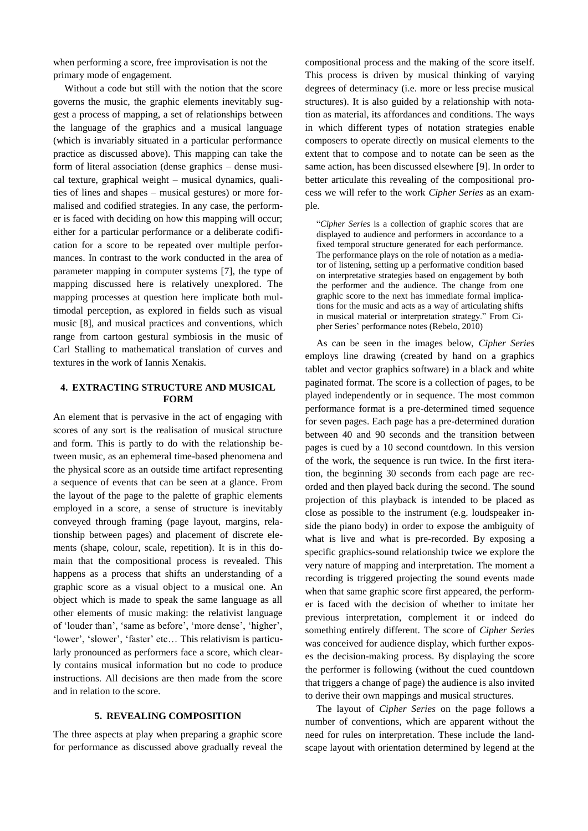when performing a score, free improvisation is not the primary mode of engagement.

Without a code but still with the notion that the score governs the music, the graphic elements inevitably suggest a process of mapping, a set of relationships between the language of the graphics and a musical language (which is invariably situated in a particular performance practice as discussed above). This mapping can take the form of literal association (dense graphics – dense musical texture, graphical weight – musical dynamics, qualities of lines and shapes – musical gestures) or more formalised and codified strategies. In any case, the performer is faced with deciding on how this mapping will occur; either for a particular performance or a deliberate codification for a score to be repeated over multiple performances. In contrast to the work conducted in the area of parameter mapping in computer systems [7], the type of mapping discussed here is relatively unexplored. The mapping processes at question here implicate both multimodal perception, as explored in fields such as visual music [8], and musical practices and conventions, which range from cartoon gestural symbiosis in the music of Carl Stalling to mathematical translation of curves and textures in the work of Iannis Xenakis.

#### **4. EXTRACTING STRUCTURE AND MUSICAL FORM**

An element that is pervasive in the act of engaging with scores of any sort is the realisation of musical structure and form. This is partly to do with the relationship between music, as an ephemeral time-based phenomena and the physical score as an outside time artifact representing a sequence of events that can be seen at a glance. From the layout of the page to the palette of graphic elements employed in a score, a sense of structure is inevitably conveyed through framing (page layout, margins, relationship between pages) and placement of discrete elements (shape, colour, scale, repetition). It is in this domain that the compositional process is revealed. This happens as a process that shifts an understanding of a graphic score as a visual object to a musical one. An object which is made to speak the same language as all other elements of music making: the relativist language of 'louder than', 'same as before', 'more dense', 'higher', 'lower', 'slower', 'faster' etc… This relativism is particularly pronounced as performers face a score, which clearly contains musical information but no code to produce instructions. All decisions are then made from the score and in relation to the score.

#### **5. REVEALING COMPOSITION**

The three aspects at play when preparing a graphic score for performance as discussed above gradually reveal the compositional process and the making of the score itself. This process is driven by musical thinking of varying degrees of determinacy (i.e. more or less precise musical structures). It is also guided by a relationship with notation as material, its affordances and conditions. The ways in which different types of notation strategies enable composers to operate directly on musical elements to the extent that to compose and to notate can be seen as the same action, has been discussed elsewhere [9]. In order to better articulate this revealing of the compositional process we will refer to the work *Cipher Series* as an example.

"*Cipher Series* is a collection of graphic scores that are displayed to audience and performers in accordance to a fixed temporal structure generated for each performance. The performance plays on the role of notation as a mediator of listening, setting up a performative condition based on interpretative strategies based on engagement by both the performer and the audience. The change from one graphic score to the next has immediate formal implications for the music and acts as a way of articulating shifts in musical material or interpretation strategy." From Cipher Series' performance notes (Rebelo, 2010)

As can be seen in the images below, *Cipher Series* employs line drawing (created by hand on a graphics tablet and vector graphics software) in a black and white paginated format. The score is a collection of pages, to be played independently or in sequence. The most common performance format is a pre-determined timed sequence for seven pages. Each page has a pre-determined duration between 40 and 90 seconds and the transition between pages is cued by a 10 second countdown. In this version of the work, the sequence is run twice. In the first iteration, the beginning 30 seconds from each page are recorded and then played back during the second. The sound projection of this playback is intended to be placed as close as possible to the instrument (e.g. loudspeaker inside the piano body) in order to expose the ambiguity of what is live and what is pre-recorded. By exposing a specific graphics-sound relationship twice we explore the very nature of mapping and interpretation. The moment a recording is triggered projecting the sound events made when that same graphic score first appeared, the performer is faced with the decision of whether to imitate her previous interpretation, complement it or indeed do something entirely different. The score of *Cipher Series* was conceived for audience display, which further exposes the decision-making process. By displaying the score the performer is following (without the cued countdown that triggers a change of page) the audience is also invited to derive their own mappings and musical structures.

The layout of *Cipher Series* on the page follows a number of conventions, which are apparent without the need for rules on interpretation. These include the landscape layout with orientation determined by legend at the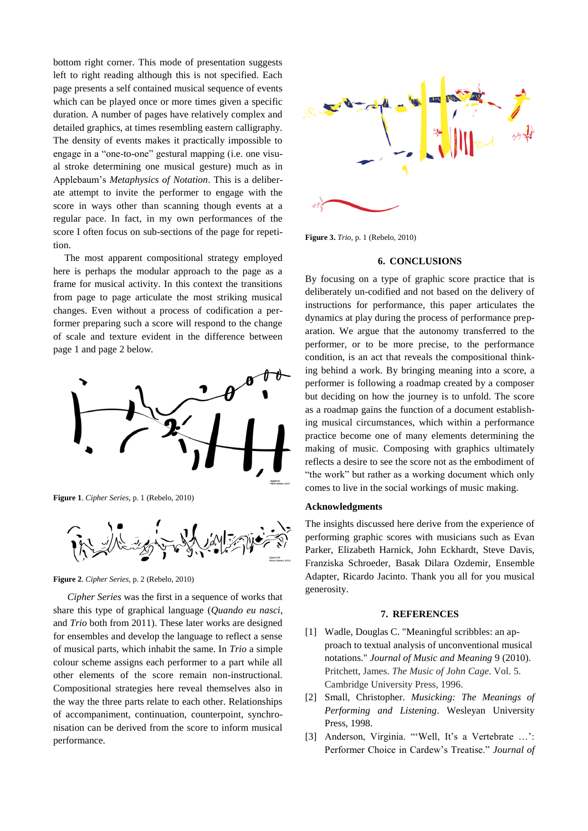bottom right corner. This mode of presentation suggests left to right reading although this is not specified. Each page presents a self contained musical sequence of events which can be played once or more times given a specific duration. A number of pages have relatively complex and detailed graphics, at times resembling eastern calligraphy. The density of events makes it practically impossible to engage in a "one-to-one" gestural mapping (i.e. one visual stroke determining one musical gesture) much as in Applebaum's *Metaphysics of Notation*. This is a deliberate attempt to invite the performer to engage with the score in ways other than scanning though events at a regular pace. In fact, in my own performances of the score I often focus on sub-sections of the page for repetition.

The most apparent compositional strategy employed here is perhaps the modular approach to the page as a frame for musical activity. In this context the transitions from page to page articulate the most striking musical changes. Even without a process of codification a performer preparing such a score will respond to the change of scale and texture evident in the difference between page 1 and page 2 below.



**Figure 1**. *Cipher Series*, p. 1 (Rebelo, 2010)



**Figure 2**. *Cipher Series*, p. 2 (Rebelo, 2010)

*Cipher Series* was the first in a sequence of works that share this type of graphical language (*Quando eu nasci*, and *Trio* both from 2011). These later works are designed for ensembles and develop the language to reflect a sense of musical parts, which inhabit the same. In *Trio* a simple colour scheme assigns each performer to a part while all other elements of the score remain non-instructional. Compositional strategies here reveal themselves also in the way the three parts relate to each other. Relationships of accompaniment, continuation, counterpoint, synchronisation can be derived from the score to inform musical performance.



**Figure 3.** *Trio*, p. 1 (Rebelo, 2010)

#### **6. CONCLUSIONS**

By focusing on a type of graphic score practice that is deliberately un-codified and not based on the delivery of instructions for performance, this paper articulates the dynamics at play during the process of performance preparation. We argue that the autonomy transferred to the performer, or to be more precise, to the performance condition, is an act that reveals the compositional thinking behind a work. By bringing meaning into a score, a performer is following a roadmap created by a composer but deciding on how the journey is to unfold. The score as a roadmap gains the function of a document establishing musical circumstances, which within a performance practice become one of many elements determining the making of music. Composing with graphics ultimately reflects a desire to see the score not as the embodiment of "the work" but rather as a working document which only comes to live in the social workings of music making.

#### **Acknowledgments**

The insights discussed here derive from the experience of performing graphic scores with musicians such as Evan Parker, Elizabeth Harnick, John Eckhardt, Steve Davis, Franziska Schroeder, Basak Dilara Ozdemir, Ensemble Adapter, Ricardo Jacinto. Thank you all for you musical generosity.

#### **7. REFERENCES**

- [1] Wadle, Douglas C. "Meaningful scribbles: an approach to textual analysis of unconventional musical notations." *Journal of Music and Meaning* 9 (2010). Pritchett, James. *The Music of John Cage*. Vol. 5. Cambridge University Press, 1996.
- [2] Small, Christopher. *Musicking: The Meanings of Performing and Listening*. Wesleyan University Press, 1998.
- [3] Anderson, Virginia. "'Well, It's a Vertebrate ...': Performer Choice in Cardew's Treatise." *Journal of*